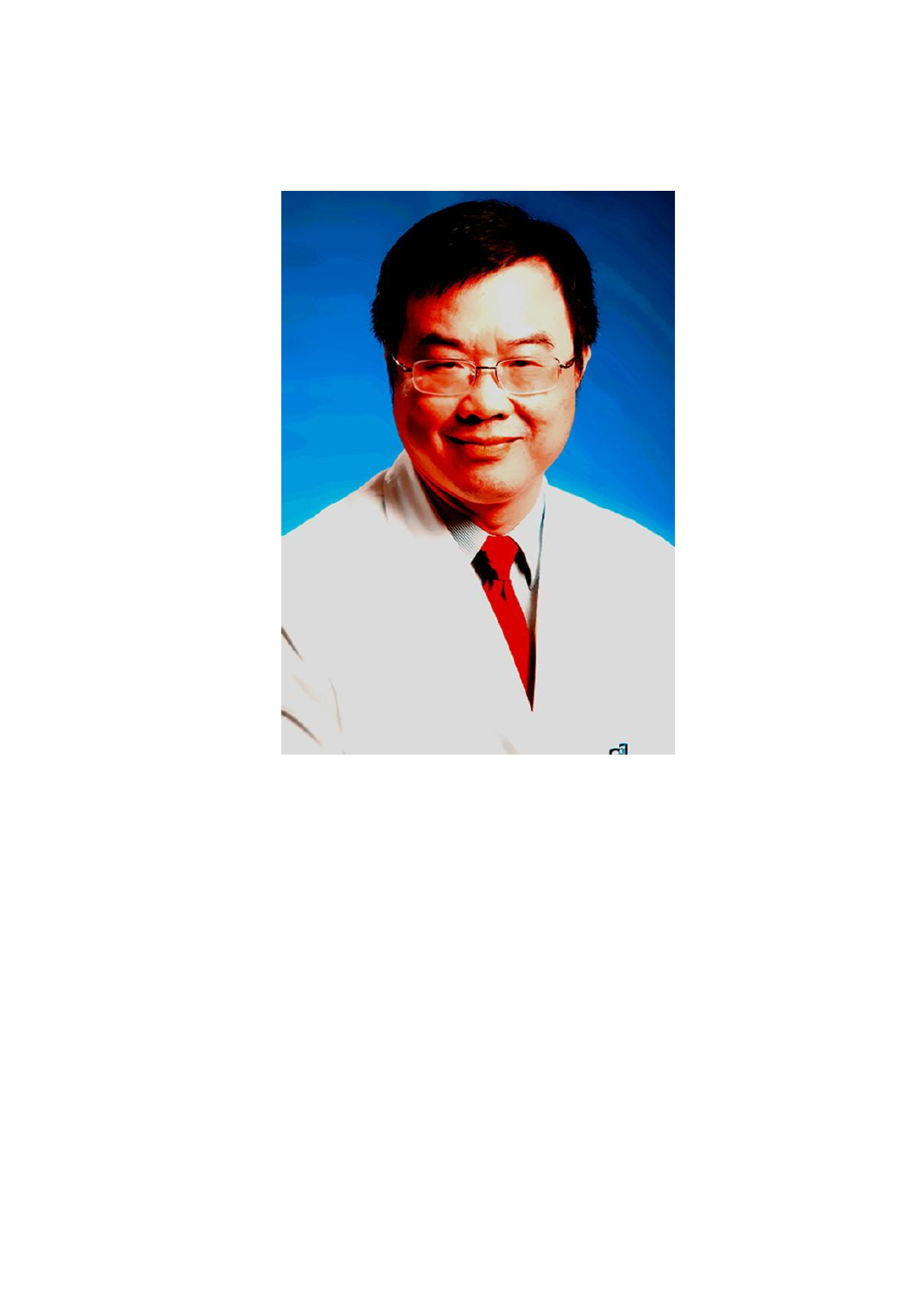